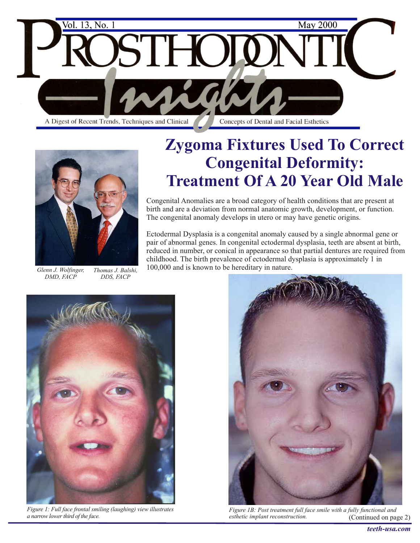



*DMD, FACP Thomas J. Balshi, DDS, FACP*

# **Zygoma Fixtures Used To Correct Congenital Deformity: Treatment Of A 20 Year Old Male**

Congenital Anomalies are a broad category of health conditions that are present at birth and are a deviation from normal anatomic growth, development, or function. The congenital anomaly develops in utero or may have genetic origins.

Ectodermal Dysplasia is a congenital anomaly caused by a single abnormal gene or pair of abnormal genes. In congenital ectodermal dysplasia, teeth are absent at birth, reduced in number, or conical in appearance so that partial dentures are required from childhood. The birth prevalence of ectodermal dysplasia is approximately 1 in *Glenn J. Wolfinger, Thomas J. Balshi,* 100,000 and is known to be hereditary in nature.



*Figure 1: Full face frontal smiling (laughing) view illustrates a narrow lower third of the face.*



*Figure 1B: Post treatment full face smile with a fully functional and esthetic implant reconstruction.* (Continued on page 2)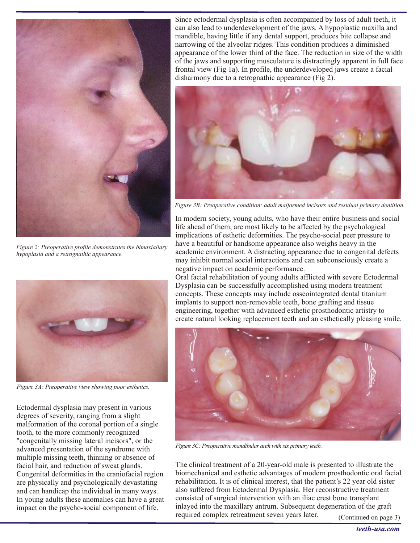

*Figure 2: Preoperative profile demonstrates the bimaxiallary hypoplasia and a retrognathic appearance.*



*Figure 3A: Preoperative view showing poor esthetics.*

Ectodermal dysplasia may present in various degrees of severity, ranging from a slight malformation of the coronal portion of a single tooth, to the more commonly recognized "congenitally missing lateral incisors", or the advanced presentation of the syndrome with multiple missing teeth, thinning or absence of facial hair, and reduction of sweat glands. Congenital deformities in the craniofacial region are physically and psychologically devastating and can handicap the individual in many ways. In young adults these anomalies can have a great impact on the psycho-social component of life.

Since ectodermal dysplasia is often accompanied by loss of adult teeth, it can also lead to underdevelopment of the jaws. A hypoplastic maxilla and mandible, having little if any dental support, produces bite collapse and narrowing of the alveolar ridges. This condition produces a diminished appearance of the lower third of the face. The reduction in size of the width of the jaws and supporting musculature is distractingly apparent in full face frontal view (Fig 1a). In profile, the underdeveloped jaws create a facial disharmony due to a retrognathic appearance (Fig 2).



*Figure 3B: Preoperative condition: adult malformed incisors and residual primary dentition.*

In modern society, young adults, who have their entire business and social life ahead of them, are most likely to be affected by the psychological implications of esthetic deformities. The psycho-social peer pressure to have a beautiful or handsome appearance also weighs heavy in the academic environment. A distracting appearance due to congenital defects may inhibit normal social interactions and can subconsciously create a negative impact on academic performance.

Oral facial rehabilitation of young adults afflicted with severe Ectodermal Dysplasia can be successfully accomplished using modern treatment concepts. These concepts may include osseointegrated dental titanium implants to support non-removable teeth, bone grafting and tissue engineering, together with advanced esthetic prosthodontic artistry to create natural looking replacement teeth and an esthetically pleasing smile.



*Figure 3C: Preoperative mandibular arch with six primary teeth.*

The clinical treatment of a 20-year-old male is presented to illustrate the biomechanical and esthetic advantages of modern prosthodontic oral facial rehabilitation. It is of clinical interest, that the patient's 22 year old sister also suffered from Ectodermal Dysplasia. Her reconstructive treatment consisted of surgical intervention with an iliac crest bone transplant inlayed into the maxillary antrum. Subsequent degeneration of the graft required complex retreatment seven years later. (Continued on page 3)

*teeth-usa.com*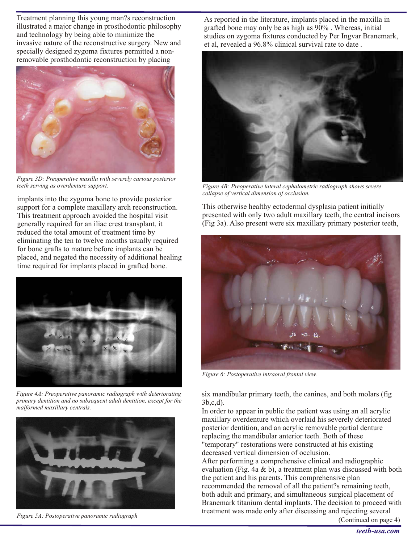Treatment planning this young man?s reconstruction illustrated a major change in prosthodontic philosophy and technology by being able to minimize the invasive nature of the reconstructive surgery. New and specially designed zygoma fixtures permitted a nonremovable prosthodontic reconstruction by placing



*Figure 3D: Preoperative maxilla with severely carious posterior teeth serving as overdenture support.*

implants into the zygoma bone to provide posterior support for a complete maxillary arch reconstruction. This treatment approach avoided the hospital visit generally required for an iliac crest transplant, it reduced the total amount of treatment time by eliminating the ten to twelve months usually required for bone grafts to mature before implants can be placed, and negated the necessity of additional healing time required for implants placed in grafted bone.



*Figure 4A: Preoperative panoramic radiograph with deteriorating primary dentition and no subsequent adult dentition, except for the malformed maxillary centrals.*



*Figure 5A: Postoperative panoramic radiograph*

As reported in the literature, implants placed in the maxilla in grafted bone may only be as high as 90% . Whereas, initial studies on zygoma fixtures conducted by Per Ingvar Branemark, et al, revealed a 96.8% clinical survival rate to date .



*Figure 4B: Preoperative lateral cephalometric radiograph shows severe collapse of vertical dimension of occlusion.*

This otherwise healthy ectodermal dysplasia patient initially presented with only two adult maxillary teeth, the central incisors (Fig 3a). Also present were six maxillary primary posterior teeth,



*Figure 6: Postoperative intraoral frontal view.*

six mandibular primary teeth, the canines, and both molars (fig 3b,c,d).

In order to appear in public the patient was using an all acrylic maxillary overdenture which overlaid his severely deteriorated posterior dentition, and an acrylic removable partial denture replacing the mandibular anterior teeth. Both of these "temporary" restorations were constructed at his existing decreased vertical dimension of occlusion.

After performing a comprehensive clinical and radiographic evaluation (Fig. 4a & b), a treatment plan was discussed with both the patient and his parents. This comprehensive plan recommended the removal of all the patient?s remaining teeth, both adult and primary, and simultaneous surgical placement of Branemark titanium dental implants. The decision to proceed with treatment was made only after discussing and rejecting several

(Continued on page 4)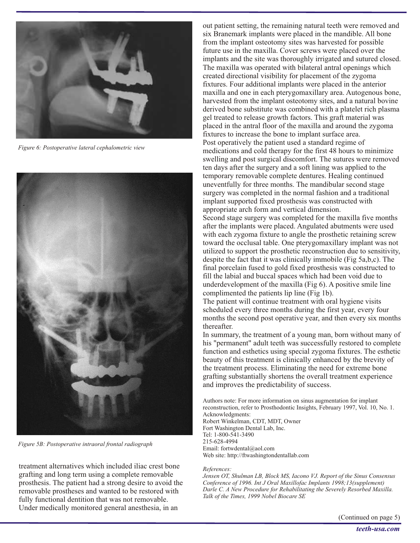

*Figure 6: Postoperative lateral cephalometric view*



*Figure 5B: Postoperative intraoral frontal radiograph*

treatment alternatives which included iliac crest bone grafting and long term using a complete removable prosthesis. The patient had a strong desire to avoid the removable prostheses and wanted to be restored with fully functional dentition that was not removable. Under medically monitored general anesthesia, in an

out patient setting, the remaining natural teeth were removed and six Branemark implants were placed in the mandible. All bone from the implant osteotomy sites was harvested for possible future use in the maxilla. Cover screws were placed over the implants and the site was thoroughly irrigated and sutured closed. The maxilla was operated with bilateral antral openings which created directional visibility for placement of the zygoma fixtures. Four additional implants were placed in the anterior maxilla and one in each pterygomaxillary area. Autogenous bone, harvested from the implant osteotomy sites, and a natural bovine derived bone substitute was combined with a platelet rich plasma gel treated to release growth factors. This graft material was placed in the antral floor of the maxilla and around the zygoma fixtures to increase the bone to implant surface area. Post operatively the patient used a standard regime of medications and cold therapy for the first 48 hours to minimize swelling and post surgical discomfort. The sutures were removed ten days after the surgery and a soft lining was applied to the temporary removable complete dentures. Healing continued uneventfully for three months. The mandibular second stage surgery was completed in the normal fashion and a traditional implant supported fixed prosthesis was constructed with appropriate arch form and vertical dimension.

Second stage surgery was completed for the maxilla five months after the implants were placed. Angulated abutments were used with each zygoma fixture to angle the prosthetic retaining screw toward the occlusal table. One pterygomaxillary implant was not utilized to support the prosthetic reconstruction due to sensitivity, despite the fact that it was clinically immobile (Fig 5a,b,c). The final porcelain fused to gold fixed prosthesis was constructed to fill the labial and buccal spaces which had been void due to underdevelopment of the maxilla (Fig 6). A positive smile line complimented the patients lip line (Fig 1b).

The patient will continue treatment with oral hygiene visits scheduled every three months during the first year, every four months the second post operative year, and then every six months thereafter.

In summary, the treatment of a young man, born without many of his "permanent" adult teeth was successfully restored to complete function and esthetics using special zygoma fixtures. The esthetic beauty of this treatment is clinically enhanced by the brevity of the treatment process. Eliminating the need for extreme bone grafting substantially shortens the overall treatment experience and improves the predictability of success.

Authors note: For more information on sinus augmentation for implant reconstruction, refer to Prosthodontic Insights, February 1997, Vol. 10, No. 1. Acknowledgments: Robert Winkelman, CDT, MDT, Owner Fort Washington Dental Lab, Inc. Tel: 1-800-541-3490 215-628-4994 Email: fortwdental@aol.com Web site: http://ftwashingtondentallab.com

#### *References:*

*Jensen OT, Shulman LB, Block MS, Iacono VJ. Report of the Sinus Consensus Conference of 1996. Int J Oral Maxillofac Implants 1998;13(supplement) Darle C. A New Procedure for Rehabilitating the Severely Resorbed Maxilla. Talk of the Times, 1999 Nobel Biocare SE*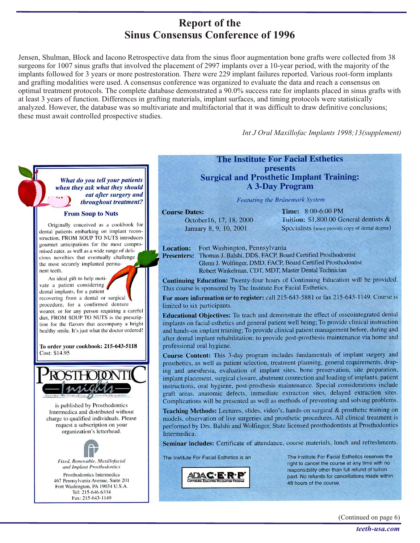### **Report of the Sinus Consensus Conference of 1996**

Jensen, Shulman, Block and Iacono Retrospective data from the sinus floor augmentation bone grafts were collected from 38 surgeons for 1007 sinus grafts that involved the placement of 2997 implants over a 10-year period, with the majority of the implants followed for 3 years or more postrestoration. There were 229 implant failures reported. Various root-form implants and grafting modalities were used. A consensus conference was organized to evaluate the data and reach a consensus on optimal treatment protocols. The complete database demonstrated a 90.0% success rate for implants placed in sinus grafts with at least 3 years of function. Differences in grafting materials, implant surfaces, and timing protocols were statistically analyzed. However, the database was so multivariate and multifactorial that it was difficult to draw definitive conclusions; these must await controlled prospective studies.

Int J Oral Maxillofac Implants 1998;13(supplement)

What do you tell your patients when they ask what they should eat after surgery and throughout treatment?

#### **From Soup to Nuts**

Originally conceived as a cookbook for dental patients embarking on implant reconstruction, FROM SOUP TO NUTS introduces gourmet anticipations for the most compromised eater, as well as a wide range of delicious novelties that eventually challenge the most securely implanted permanent teeth.

An ideal gift to help motivate a patient considering dental implants, for a patient recovering from a dental or surgical procedure, for a confirmed denture wearer, or for any person requiring a careful diet, FROM SOUP TO NUTS is the prescription for the flavors that accompany a bright healthy smile. It's just what the doctor ordered!

To order your cookbook: 215-643-5118 Cost: \$14.95



is published by Prosthodontics Intermedica and distributed without charge to qualified individuals. Please request a subscription on your organization's letterhead.



Fax: 215-643-1149

### **The Institute For Facial Esthetics presents Surgical and Prosthetic Implant Training: A 3-Day Program**

Featuring the Brånemark System

**Course Dates:** October16, 17, 18, 2000 January 8, 9, 10, 2001

Time: 8:00-6:00 PM Tuition: \$1,800.00 General dentists & Specialists (must provide copy of dental degree)

**Location:** Fort Washington, Pennsylvania

Presenters: Thomas J. Balshi, DDS, FACP, Board Certified Prosthodontist Glenn J. Wolfinger, DMD, FACP, Board Certified Prosthodontist Robert Winkelman, CDT, MDT, Master Dental Technician

Continuing Education: Twenty-four hours of Continuing Education will be provided. This course is sponsored by The Institute For Facial Esthetics.

For more information or to register: call 215-643-5881 or fax 215-643-1149. Course is limited to six participants.

Educational Objectives: To teach and demonstrate the effect of osseointegrated dental implants on facial esthetics and general patient well being; To provide clinical instruction and hands-on implant training; To provide clinical patient management before, during and after dental implant rehabilitation; to provide post-prosthesis maintenance via home and professional oral hygiene.

Course Content: This 3-day program includes fundamentals of implant surgery and prosthetics, as well as patient selection, treatment planning, general requirements, draping and anesthesia, evaluation of implant sites, bone preservation, site preparation, implant placement, surgical closure, abutment connection and loading of implants, patient instructions, oral hygiene, post-prosthesis maintenance. Special considerations include graft areas, anatomic defects, immediate extraction sites, delayed extraction sites. Complications will be presented as well as methods of preventing and solving problems.

Teaching Methods: Lectures, slides, video's, hands-on surgical & prosthetic training on models, observation of live surgeries and prosthetic procedures. All clinical treatment is performed by Drs. Balshi and Wolfinger, State licensed prosthodontists at Prosthodontics Intermedica.

Seminar includes: Certificate of attendance, course materials, lunch and refreshments.

The Institute For Facial Esthetics is an



The Institute For Facial Esthetics reserves the right to cancel the course at any time with no responsibility other than full refund of tuition paid. No refunds for cancellations made within 48 hours of the course.

(Continued on page 6)